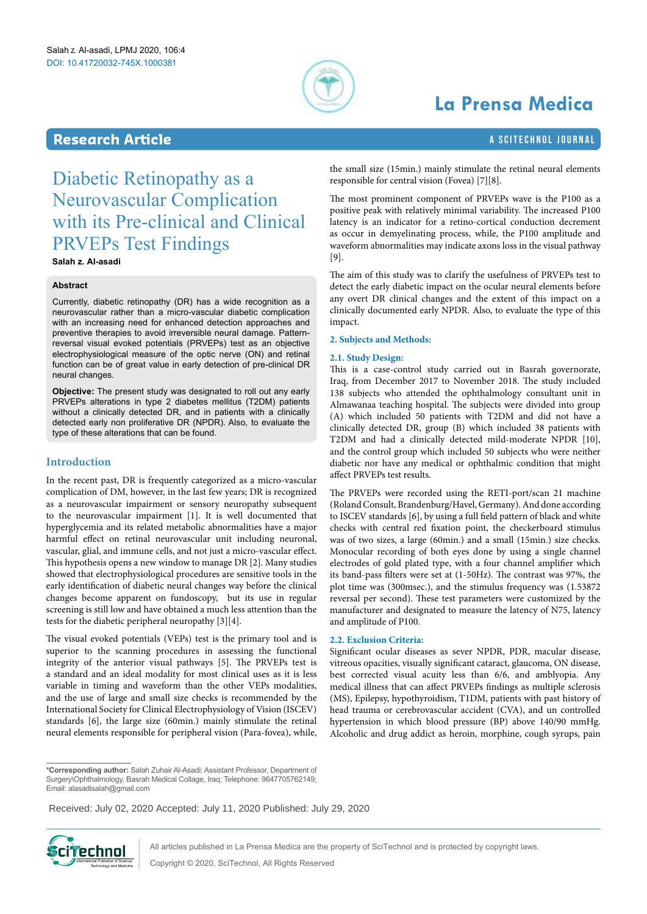

# **La Prensa Medica**

# **Research Article a Scitement Article** a Scitement A Scitement A Scitement Journal

<span id="page-0-0"></span>Diabetic Retinopathy as a Neurovascular Complication with its Pre-clinical and Clinical PRVEPs Test Findings

**Salah z. Al-asadi**

### **Abstract**

Currently, diabetic retinopathy (DR) has a wide recognition as a neurovascular rather than a micro-vascular diabetic complication with an increasing need for enhanced detection approaches and preventive therapies to avoid irreversible neural damage. Patternreversal visual evoked potentials (PRVEPs) test as an objective electrophysiological measure of the optic nerve (ON) and retinal function can be of great value in early detection of pre-clinical DR neural changes.

**Objective:** The present study was designated to roll out any early PRVEPs alterations in type 2 diabetes mellitus (T2DM) patients without a clinically detected DR, and in patients with a clinically detected early non proliferative DR (NPDR). Also, to evaluate the type of these alterations that can be found.

# **Introduction**

In the recent past, DR is frequently categorized as a micro-vascular complication of DM, however, in the last few years; DR is recognized as a neurovascular impairment or sensory neuropathy subsequent to the neurovascular impairment [1]. It is well documented that hyperglycemia and its related metabolic abnormalities have a major harmful effect on retinal neurovascular unit including neuronal, vascular, glial, and immune cells, and not just a micro-vascular effect. This hypothesis opens a new window to manage DR [2]. Many studies showed that electrophysiological procedures are sensitive tools in the early identification of diabetic neural changes way before the clinical changes become apparent on fundoscopy, but its use in regular screening is still low and have obtained a much less attention than the tests for the diabetic peripheral neuropathy [3][4].

The visual evoked potentials (VEPs) test is the primary tool and is superior to the scanning procedures in assessing the functional integrity of the anterior visual pathways [5]. The PRVEPs test is a standard and an ideal modality for most clinical uses as it is less variable in timing and waveform than the other VEPs modalities, and the use of large and small size checks is recommended by the International Society for Clinical Electrophysiology of Vision (ISCEV) standards [6], the large size (60min.) mainly stimulate the retinal neural elements responsible for peripheral vision (Para-fovea), while,

the small size (15min.) mainly stimulate the retinal neural elements responsible for central vision (Fovea) [7][8].

The most prominent component of PRVEPs wave is the P100 as a positive peak with relatively minimal variability. The increased P100 latency is an indicator for a retino-cortical conduction decrement as occur in demyelinating process, while, the P100 amplitude and waveform abnormalities may indicate axons loss in the visual pathway [9].

The aim of this study was to clarify the usefulness of PRVEPs test to detect the early diabetic impact on the ocular neural elements before any overt DR clinical changes and the extent of this impact on a clinically documented early NPDR. Also, to evaluate the type of this impact.

#### **2. Subjects and Methods:**

#### **2.1. Study Design:**

This is a case-control study carried out in Basrah governorate, Iraq, from December 2017 to November 2018. The study included 138 subjects who attended the ophthalmology consultant unit in Almawanaa teaching hospital. The subjects were divided into group (A) which included 50 patients with T2DM and did not have a clinically detected DR, group (B) which included 38 patients with T2DM and had a clinically detected mild-moderate NPDR [10], and the control group which included 50 subjects who were neither diabetic nor have any medical or ophthalmic condition that might affect PRVEPs test results.

The PRVEPs were recorded using the RETI-port/scan 21 machine (Roland Consult, Brandenburg/Havel, Germany). And done according to ISCEV standards [6], by using a full field pattern of black and white checks with central red fixation point, the checkerboard stimulus was of two sizes, a large (60min.) and a small (15min.) size checks. Monocular recording of both eyes done by using a single channel electrodes of gold plated type, with a four channel amplifier which its band-pass filters were set at (1-50Hz). The contrast was 97%, the plot time was (300msec.), and the stimulus frequency was (1.53872 reversal per second). These test parameters were customized by the manufacturer and designated to measure the latency of N75, latency and amplitude of P100.

#### **2.2. Exclusion Criteria:**

Significant ocular diseases as sever NPDR, PDR, macular disease, vitreous opacities, visually significant cataract, glaucoma, ON disease, best corrected visual acuity less than 6/6, and amblyopia. Any medical illness that can affect PRVEPs findings as multiple sclerosis (MS), Epilepsy, hypothyroidism, T1DM, patients with past history of head trauma or cerebrovascular accident (CVA), and un controlled hypertension in which blood pressure (BP) above 140/90 mmHg. Alcoholic and drug addict as heroin, morphine, cough syrups, pain

**\*Corresponding author:** Salah Zuhair Al-Asadi; Assistant Professor, Department of Surgery\Ophthalmology, Basrah Medical Collage, Iraq; Telephone: 9647705762149; Email: alasadisalah@gmail.com

**Received:** December 02, 2019 **Accepted:** January 11, 2020 **Published:** january 20, 2020 Received: July 02, 2020 Accepted: July 11, 2020 Published: July 29, 2020



All articles published in La Prensa Medica are the property of SciTechnol and is protected by copyright laws.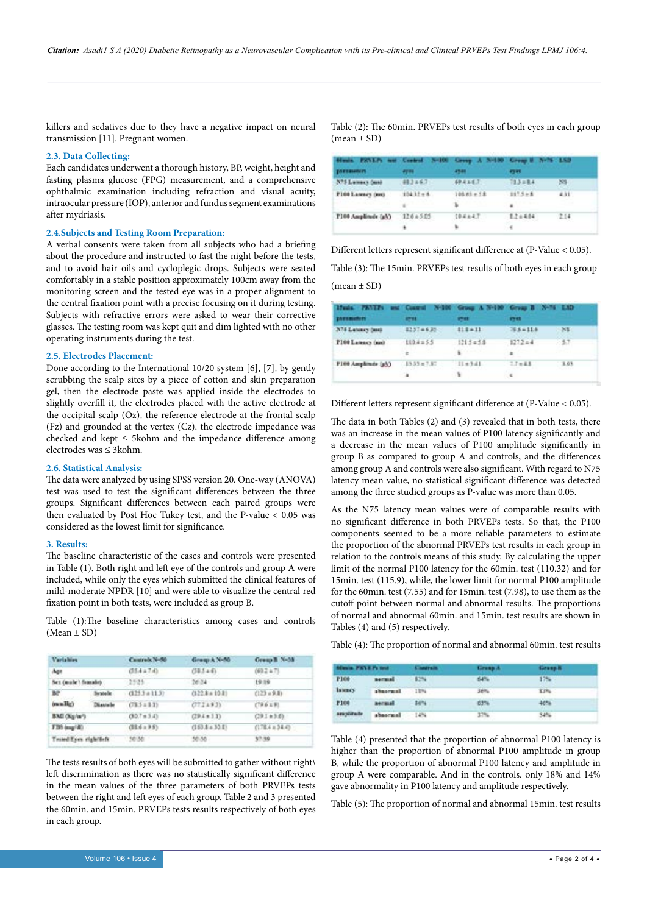killers and sedatives due to they have a negative impact on neural transmission [11]. Pregnant women.

#### **2.3. Data Collecting:**

Each candidates underwent a thorough history, BP, weight, height and fasting plasma glucose (FPG) measurement, and a comprehensive ophthalmic examination including refraction and visual acuity, intraocular pressure (IOP), anterior and fundus segment examinations after mydriasis.

# **2.4.Subjects and Testing Room Preparation:**

A verbal consents were taken from all subjects who had a briefing about the procedure and instructed to fast the night before the tests, and to avoid hair oils and cycloplegic drops. Subjects were seated comfortably in a stable position approximately 100cm away from the monitoring screen and the tested eye was in a proper alignment to the central fixation point with a precise focusing on it during testing. Subjects with refractive errors were asked to wear their corrective glasses. The testing room was kept quit and dim lighted with no other operating instruments during the test.

#### **2.5. Electrodes Placement:**

Done according to the International 10/20 system [6], [7], by gently scrubbing the scalp sites by a piece of cotton and skin preparation gel, then the electrode paste was applied inside the electrodes to slightly overfill it, the electrodes placed with the active electrode at the occipital scalp (Oz), the reference electrode at the frontal scalp (Fz) and grounded at the vertex (Cz). the electrode impedance was checked and kept  $\leq$  5kohm and the impedance difference among electrodes was ≤ 3kohm.

#### **2.6. Statistical Analysis:**

The data were analyzed by using SPSS version 20. One-way (ANOVA) test was used to test the significant differences between the three groups. Significant differences between each paired groups were then evaluated by Post Hoc Tukey test, and the P-value < 0.05 was considered as the lowest limit for significance.

#### **3. Results:**

The baseline characteristic of the cases and controls were presented in Table (1). Both right and left eye of the controls and group A were included, while only the eyes which submitted the clinical features of mild-moderate NPDR [10] and were able to visualize the central red fixation point in both tests, were included as group B.

Table (1):The baseline characteristics among cases and controls (Mean ± SD)

| <b>Variables</b>            |           | Cautrals N-80    | Group A N-50     | Group B N-58       |
|-----------------------------|-----------|------------------|------------------|--------------------|
| Age                         |           | $(35.4 \pm 7.4)$ | $(33.5 + 6)$     | (60.2 a.7).        |
| <b>Net Coule 1 frankley</b> |           | 2525             | 2024             | 19.19              |
| BP.                         | Systele:  | $(125.3 + 11.3)$ | $(122.8 + 10.8)$ | $(123 + 9.8)$      |
| (mmHg)                      | Districto | $(78.5 \pm 1.3)$ | (772.493)        | (196.19)           |
| BMI (Kg/m')                 |           | $(30.7 + 5.4)$   | $(29.4 \pm 5.3)$ | $(29.1 + 3.6)$     |
| FBS (mag/dl)                |           | $(33.6 + 9.9)$   | $(153.8 + 33.8)$ | $(178.4 \pm 34.4)$ |
| Tested Exes cightlich       |           | 10:30            | 50.50            | 57.80              |
|                             |           |                  |                  |                    |

The tests results of both eyes will be submitted to gather without right\ left discrimination as there was no statistically significant difference in the mean values of the three parameters of both PRVEPs tests between the right and left eyes of each group. Table 2 and 3 presented the 60min. and 15min. PRVEPs tests results respectively of both eyes in each group.

Table (2): The 60min. PRVEPs test results of both eyes in each group  $(mean \pm SD)$ 

| Simila. PRVLPs and Control. N-100 Crossy A 20-100 Crossy B 20-76 1.521<br>ративные. | <b>PERS</b>  | <b>ATABLE</b> | 6395         |      |
|-------------------------------------------------------------------------------------|--------------|---------------|--------------|------|
| N75 Lumurs (and                                                                     | <b>相3×67</b> | 69.425.7      | 713284       | 53   |
| P160 Lawsey (MH)                                                                    | $10411+4$    | $10181 + 12$  | $117.5 + 8$  | #31  |
|                                                                                     | ٠            | ь             | ٠            |      |
| P100 Amplitude (gV)                                                                 | 1204505      | 19.4847       | $1.2 + 4.04$ | 2.14 |
|                                                                                     | ٠            | ٠             | $\cdot$      |      |

Different letters represent significant difference at (P-Value < 0.05). Table (3): The 15min. PRVEPs test results of both eyes in each group

 $(mean \pm SD)$ 

| Huds. PRUES and Control. N-100 Group A N-130 Group B. N-76 L3D.<br>parameters: | <b>ATTAL</b>          | 8783                        | <b>STAR</b>       |         |
|--------------------------------------------------------------------------------|-----------------------|-----------------------------|-------------------|---------|
| N76 Latiney (ms)                                                               | 12374635              | $118 + 11$                  | $76.6 + 11.6$     | NE      |
| P100 Latency (nm)                                                              | 1104255<br>一番に        | 1215 = 5.8<br>William Co.   | $-127.2 + 4$      | 行動する    |
| F100 Amplitude (g5)                                                            | $15.35 \pm 7.87$<br>- | $11 + 341$<br>$\rightarrow$ | $7.7 + 4.8$<br>्ड | $-1.03$ |

Different letters represent significant difference at (P-Value < 0.05).

The data in both Tables (2) and (3) revealed that in both tests, there was an increase in the mean values of P100 latency significantly and a decrease in the mean values of P100 amplitude significantly in group B as compared to group A and controls, and the differences among group A and controls were also significant. With regard to N75 latency mean value, no statistical significant difference was detected among the three studied groups as P-value was more than 0.05.

As the N75 latency mean values were of comparable results with no significant difference in both PRVEPs tests. So that, the P100 components seemed to be a more reliable parameters to estimate the proportion of the abnormal PRVEPs test results in each group in relation to the controls means of this study. By calculating the upper limit of the normal P100 latency for the 60min. test (110.32) and for 15min. test (115.9), while, the lower limit for normal P100 amplitude for the 60min. test (7.55) and for 15min. test (7.98), to use them as the cutoff point between normal and abnormal results. The proportions of normal and abnormal 60min. and 15min. test results are shown in Tables (4) and (5) respectively.

Table (4): The proportion of normal and abnormal 60min. test results

| <b>SONIA FX13 Pt trut</b> |               | <b>Contrale</b> | Group A | Grasp R. |
|---------------------------|---------------|-----------------|---------|----------|
| P100                      | nermal        | \$2%            | 64%     | $17% -$  |
| <b>Тамкеу</b>             | abnormal      | $-1124$         | Jeh.    | KIN:     |
| <b>P100</b>               | <b>Bermal</b> | \$674           | 63%     | 46%      |
| smplirate                 | abascassi     | $-1454$         | 37%     | 54%      |

Table (4) presented that the proportion of abnormal P100 latency is higher than the proportion of abnormal P100 amplitude in group B, while the proportion of abnormal P100 latency and amplitude in group A were comparable. And in the controls. only 18% and 14% gave abnormality in P100 latency and amplitude respectively.

Table (5): The proportion of normal and abnormal 15min. test results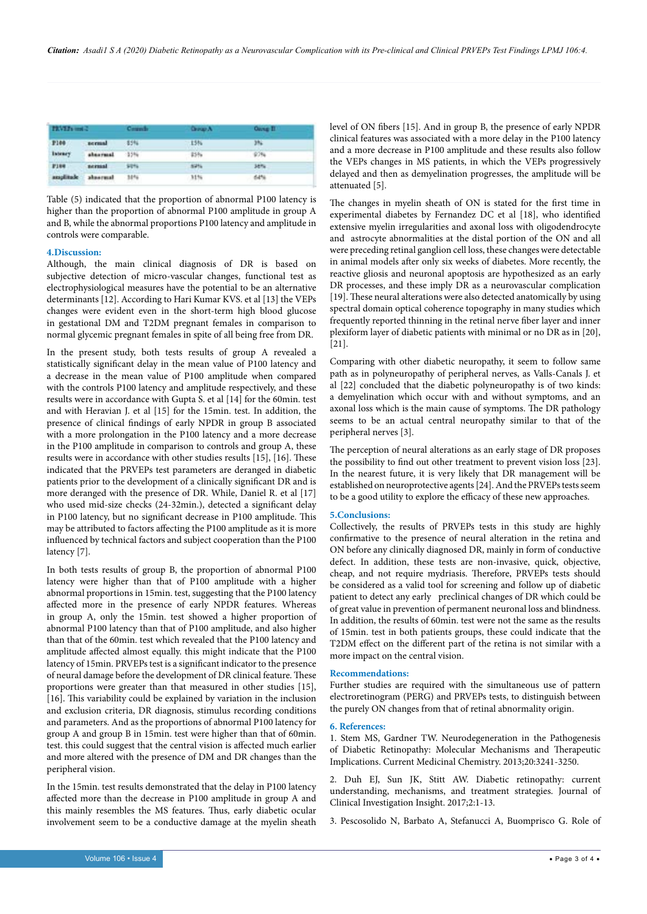| <b>TRVETs and 2</b> |           | Committee | <b>Grange A</b> | <b>Ouve II</b> |  |
|---------------------|-----------|-----------|-----------------|----------------|--|
| P100                | nermal    | -85%      | $-15%$          | 3%             |  |
| Inteney             | absormed. | $-35%$    | 25%             | 97%            |  |
| $F184$              | nermani   | Sitts:    | 52%             | <b>Jenu</b>    |  |
| ansplitude          | aboutwall | 30%       | 31%             | 64%            |  |

Table (5) indicated that the proportion of abnormal P100 latency is higher than the proportion of abnormal P100 amplitude in group A and B, while the abnormal proportions P100 latency and amplitude in controls were comparable.

#### **4.Discussion:**

Although, the main clinical diagnosis of DR is based on subjective detection of micro-vascular changes, functional test as electrophysiological measures have the potential to be an alternative determinants [12]. According to Hari Kumar KVS. et al [13] the VEPs changes were evident even in the short-term high blood glucose in gestational DM and T2DM pregnant females in comparison to normal glycemic pregnant females in spite of all being free from DR.

In the present study, both tests results of group A revealed a statistically significant delay in the mean value of P100 latency and a decrease in the mean value of P100 amplitude when compared with the controls P100 latency and amplitude respectively, and these results were in accordance with Gupta S. et al [14] for the 60min. test and with Heravian J. et al [15] for the 15min. test. In addition, the presence of clinical findings of early NPDR in group B associated with a more prolongation in the P100 latency and a more decrease in the P100 amplitude in comparison to controls and group A, these results were in accordance with other studies results [15], [16]. These indicated that the PRVEPs test parameters are deranged in diabetic patients prior to the development of a clinically significant DR and is more deranged with the presence of DR. While, Daniel R. et al [17] who used mid-size checks (24-32min.), detected a significant delay in P100 latency, but no significant decrease in P100 amplitude. This may be attributed to factors affecting the P100 amplitude as it is more influenced by technical factors and subject cooperation than the P100 latency [7].

In both tests results of group B, the proportion of abnormal P100 latency were higher than that of P100 amplitude with a higher abnormal proportions in 15min. test, suggesting that the P100 latency affected more in the presence of early NPDR features. Whereas in group A, only the 15min. test showed a higher proportion of abnormal P100 latency than that of P100 amplitude, and also higher than that of the 60min. test which revealed that the P100 latency and amplitude affected almost equally. this might indicate that the P100 latency of 15min. PRVEPs test is a significant indicator to the presence of neural damage before the development of DR clinical feature. These proportions were greater than that measured in other studies [15], [16]. This variability could be explained by variation in the inclusion and exclusion criteria, DR diagnosis, stimulus recording conditions and parameters. And as the proportions of abnormal P100 latency for group A and group B in 15min. test were higher than that of 60min. test. this could suggest that the central vision is affected much earlier and more altered with the presence of DM and DR changes than the peripheral vision.

In the 15min. test results demonstrated that the delay in P100 latency affected more than the decrease in P100 amplitude in group A and this mainly resembles the MS features. Thus, early diabetic ocular involvement seem to be a conductive damage at the myelin sheath level of ON fibers [15]. And in group B, the presence of early NPDR clinical features was associated with a more delay in the P100 latency and a more decrease in P100 amplitude and these results also follow the VEPs changes in MS patients, in which the VEPs progressively delayed and then as demyelination progresses, the amplitude will be attenuated [5].

The changes in myelin sheath of ON is stated for the first time in experimental diabetes by Fernandez DC et al [18], who identified extensive myelin irregularities and axonal loss with oligodendrocyte and astrocyte abnormalities at the distal portion of the ON and all were preceding retinal ganglion cell loss, these changes were detectable in animal models after only six weeks of diabetes. More recently, the reactive gliosis and neuronal apoptosis are hypothesized as an early DR processes, and these imply DR as a neurovascular complication [19]. These neural alterations were also detected anatomically by using spectral domain optical coherence topography in many studies which frequently reported thinning in the retinal nerve fiber layer and inner plexiform layer of diabetic patients with minimal or no DR as in [20], [21].

Comparing with other diabetic neuropathy, it seem to follow same path as in polyneuropathy of peripheral nerves, as Valls-Canals J. et al [22] concluded that the diabetic polyneuropathy is of two kinds: a demyelination which occur with and without symptoms, and an axonal loss which is the main cause of symptoms. The DR pathology seems to be an actual central neuropathy similar to that of the peripheral nerves [3].

The perception of neural alterations as an early stage of DR proposes the possibility to find out other treatment to prevent vision loss [23]. In the nearest future, it is very likely that DR management will be established on neuroprotective agents [24]. And the PRVEPs tests seem to be a good utility to explore the efficacy of these new approaches.

#### **5.Conclusions:**

Collectively, the results of PRVEPs tests in this study are highly confirmative to the presence of neural alteration in the retina and ON before any clinically diagnosed DR, mainly in form of conductive defect. In addition, these tests are non-invasive, quick, objective, cheap, and not require mydriasis. Therefore, PRVEPs tests should be considered as a valid tool for screening and follow up of diabetic patient to detect any early preclinical changes of DR which could be of great value in prevention of permanent neuronal loss and blindness. In addition, the results of 60min. test were not the same as the results of 15min. test in both patients groups, these could indicate that the T2DM effect on the different part of the retina is not similar with a more impact on the central vision.

#### **Recommendations:**

Further studies are required with the simultaneous use of pattern electroretinogram (PERG) and PRVEPs tests, to distinguish between the purely ON changes from that of retinal abnormality origin.

#### **6. References:**

1. Stem MS, Gardner TW. Neurodegeneration in the Pathogenesis of Diabetic Retinopathy: Molecular Mechanisms and Therapeutic Implications. Current Medicinal Chemistry. 2013;20:3241-3250.

2. Duh EJ, Sun JK, Stitt AW. Diabetic retinopathy: current understanding, mechanisms, and treatment strategies. Journal of Clinical Investigation Insight. 2017;2:1-13.

3. Pescosolido N, Barbato A, Stefanucci A, Buomprisco G. Role of